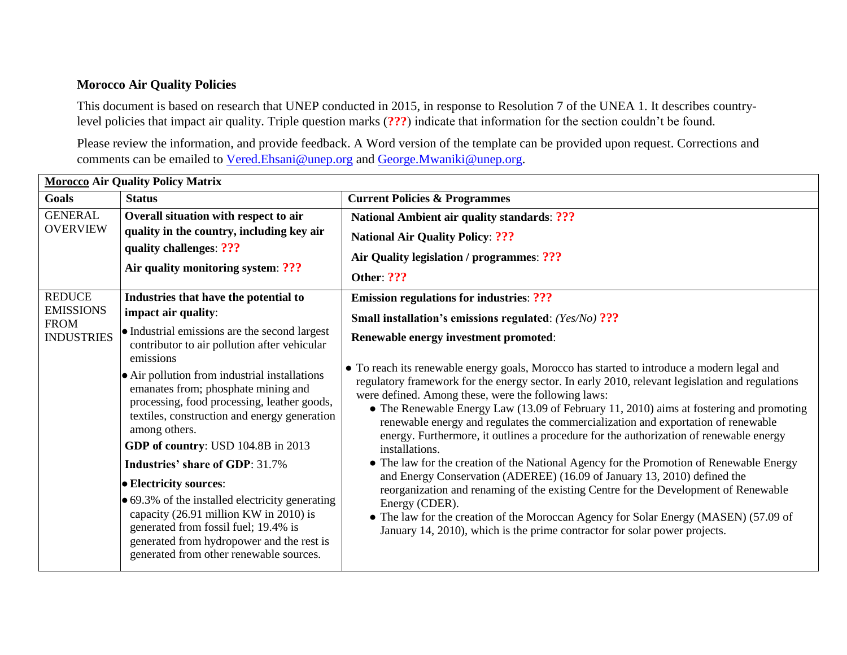## **Morocco Air Quality Policies**

This document is based on research that UNEP conducted in 2015, in response to Resolution 7 of the UNEA 1. It describes countrylevel policies that impact air quality. Triple question marks (**???**) indicate that information for the section couldn't be found.

Please review the information, and provide feedback. A Word version of the template can be provided upon request. Corrections and comments can be emailed to [Vered.Ehsani@unep.org](mailto:Vered.Ehsani@unep.org) and [George.Mwaniki@unep.org.](mailto:George.Mwaniki@unep.org)

| <b>Morocco Air Quality Policy Matrix</b>                                                                                                                                                                                                    |                                                                                                                                                                                                                   |                                                                                                                                                                                                                                                                                                                                                                                                                                                                                                                                                                                                                                                                                                 |  |  |
|---------------------------------------------------------------------------------------------------------------------------------------------------------------------------------------------------------------------------------------------|-------------------------------------------------------------------------------------------------------------------------------------------------------------------------------------------------------------------|-------------------------------------------------------------------------------------------------------------------------------------------------------------------------------------------------------------------------------------------------------------------------------------------------------------------------------------------------------------------------------------------------------------------------------------------------------------------------------------------------------------------------------------------------------------------------------------------------------------------------------------------------------------------------------------------------|--|--|
| <b>Goals</b>                                                                                                                                                                                                                                | <b>Status</b>                                                                                                                                                                                                     | <b>Current Policies &amp; Programmes</b>                                                                                                                                                                                                                                                                                                                                                                                                                                                                                                                                                                                                                                                        |  |  |
| <b>GENERAL</b><br><b>OVERVIEW</b>                                                                                                                                                                                                           | Overall situation with respect to air<br>quality in the country, including key air<br>quality challenges: ???<br>Air quality monitoring system: ???                                                               | <b>National Ambient air quality standards: ???</b>                                                                                                                                                                                                                                                                                                                                                                                                                                                                                                                                                                                                                                              |  |  |
|                                                                                                                                                                                                                                             |                                                                                                                                                                                                                   | <b>National Air Quality Policy: ???</b>                                                                                                                                                                                                                                                                                                                                                                                                                                                                                                                                                                                                                                                         |  |  |
|                                                                                                                                                                                                                                             |                                                                                                                                                                                                                   | Air Quality legislation / programmes: ???                                                                                                                                                                                                                                                                                                                                                                                                                                                                                                                                                                                                                                                       |  |  |
|                                                                                                                                                                                                                                             |                                                                                                                                                                                                                   | Other: ???                                                                                                                                                                                                                                                                                                                                                                                                                                                                                                                                                                                                                                                                                      |  |  |
| <b>REDUCE</b><br><b>EMISSIONS</b><br><b>FROM</b><br><b>INDUSTRIES</b>                                                                                                                                                                       | Industries that have the potential to                                                                                                                                                                             | <b>Emission regulations for industries: ???</b>                                                                                                                                                                                                                                                                                                                                                                                                                                                                                                                                                                                                                                                 |  |  |
|                                                                                                                                                                                                                                             | impact air quality:                                                                                                                                                                                               | Small installation's emissions regulated: (Yes/No) ???                                                                                                                                                                                                                                                                                                                                                                                                                                                                                                                                                                                                                                          |  |  |
|                                                                                                                                                                                                                                             | • Industrial emissions are the second largest<br>contributor to air pollution after vehicular                                                                                                                     | Renewable energy investment promoted:<br>• To reach its renewable energy goals, Morocco has started to introduce a modern legal and<br>regulatory framework for the energy sector. In early 2010, relevant legislation and regulations<br>were defined. Among these, were the following laws:<br>• The Renewable Energy Law $(13.09 \text{ of February } 11, 2010)$ aims at fostering and promoting<br>renewable energy and regulates the commercialization and exportation of renewable<br>energy. Furthermore, it outlines a procedure for the authorization of renewable energy<br>installations.<br>• The law for the creation of the National Agency for the Promotion of Renewable Energy |  |  |
|                                                                                                                                                                                                                                             | emissions<br>• Air pollution from industrial installations<br>emanates from; phosphate mining and<br>processing, food processing, leather goods,<br>textiles, construction and energy generation<br>among others. |                                                                                                                                                                                                                                                                                                                                                                                                                                                                                                                                                                                                                                                                                                 |  |  |
|                                                                                                                                                                                                                                             | GDP of country: USD 104.8B in 2013                                                                                                                                                                                |                                                                                                                                                                                                                                                                                                                                                                                                                                                                                                                                                                                                                                                                                                 |  |  |
|                                                                                                                                                                                                                                             | <b>Industries' share of GDP: 31.7%</b>                                                                                                                                                                            |                                                                                                                                                                                                                                                                                                                                                                                                                                                                                                                                                                                                                                                                                                 |  |  |
|                                                                                                                                                                                                                                             | <b>Electricity sources:</b>                                                                                                                                                                                       | and Energy Conservation (ADEREE) (16.09 of January 13, 2010) defined the<br>reorganization and renaming of the existing Centre for the Development of Renewable                                                                                                                                                                                                                                                                                                                                                                                                                                                                                                                                 |  |  |
| • 69.3% of the installed electricity generating<br>Energy (CDER).<br>capacity (26.91 million KW in 2010) is<br>generated from fossil fuel; 19.4% is<br>generated from hydropower and the rest is<br>generated from other renewable sources. | • The law for the creation of the Moroccan Agency for Solar Energy (MASEN) (57.09 of<br>January 14, 2010), which is the prime contractor for solar power projects.                                                |                                                                                                                                                                                                                                                                                                                                                                                                                                                                                                                                                                                                                                                                                                 |  |  |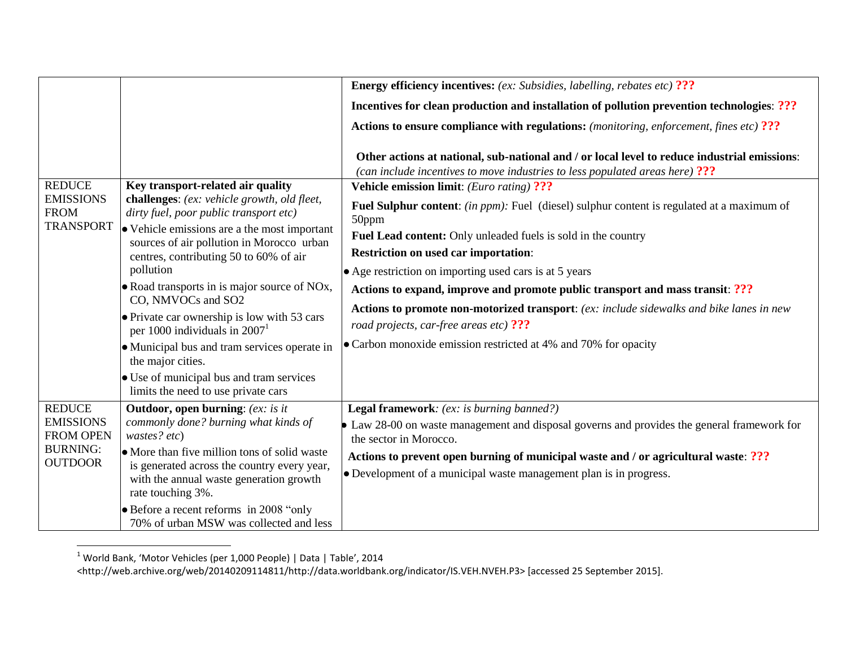|                                     |                                                                                                                                                                                                                              | <b>Energy efficiency incentives:</b> (ex: Subsidies, labelling, rebates etc) ???                                                                                             |
|-------------------------------------|------------------------------------------------------------------------------------------------------------------------------------------------------------------------------------------------------------------------------|------------------------------------------------------------------------------------------------------------------------------------------------------------------------------|
|                                     |                                                                                                                                                                                                                              | <b>Incentives for clean production and installation of pollution prevention technologies: ???</b>                                                                            |
|                                     |                                                                                                                                                                                                                              | <b>Actions to ensure compliance with regulations:</b> (monitoring, enforcement, fines etc) ???                                                                               |
|                                     |                                                                                                                                                                                                                              | Other actions at national, sub-national and / or local level to reduce industrial emissions:<br>(can include incentives to move industries to less populated areas here) ??? |
| <b>REDUCE</b>                       | Key transport-related air quality                                                                                                                                                                                            | <b>Vehicle emission limit:</b> (Euro rating) ???                                                                                                                             |
| <b>EMISSIONS</b><br><b>FROM</b>     | challenges: (ex: vehicle growth, old fleet,<br>dirty fuel, poor public transport etc)<br>• Vehicle emissions are a the most important<br>sources of air pollution in Morocco urban<br>centres, contributing 50 to 60% of air | <b>Fuel Sulphur content:</b> (in ppm): Fuel (diesel) sulphur content is regulated at a maximum of<br>50ppm                                                                   |
| <b>TRANSPORT</b>                    |                                                                                                                                                                                                                              | Fuel Lead content: Only unleaded fuels is sold in the country                                                                                                                |
|                                     |                                                                                                                                                                                                                              | <b>Restriction on used car importation:</b>                                                                                                                                  |
|                                     | pollution                                                                                                                                                                                                                    | • Age restriction on importing used cars is at 5 years                                                                                                                       |
|                                     | • Road transports in is major source of NOx,<br>CO, NMVOCs and SO2                                                                                                                                                           | Actions to expand, improve and promote public transport and mass transit: ???                                                                                                |
|                                     | • Private car ownership is low with 53 cars<br>per 1000 individuals in $20071$                                                                                                                                               | Actions to promote non-motorized transport: (ex: include sidewalks and bike lanes in new<br>road projects, car-free areas etc) ???                                           |
|                                     | • Municipal bus and tram services operate in<br>the major cities.                                                                                                                                                            | • Carbon monoxide emission restricted at 4% and 70% for opacity                                                                                                              |
|                                     | • Use of municipal bus and tram services<br>limits the need to use private cars                                                                                                                                              |                                                                                                                                                                              |
| <b>REDUCE</b>                       | <b>Outdoor, open burning:</b> (ex: is it                                                                                                                                                                                     | <b>Legal framework:</b> (ex: is burning banned?)                                                                                                                             |
| <b>EMISSIONS</b>                    | commonly done? burning what kinds of                                                                                                                                                                                         | Law 28-00 on waste management and disposal governs and provides the general framework for                                                                                    |
| <b>FROM OPEN</b><br><b>BURNING:</b> | wastes? etc)                                                                                                                                                                                                                 | the sector in Morocco.                                                                                                                                                       |
| <b>OUTDOOR</b>                      | • More than five million tons of solid waste<br>is generated across the country every year,                                                                                                                                  | Actions to prevent open burning of municipal waste and / or agricultural waste: ???                                                                                          |
|                                     | with the annual waste generation growth                                                                                                                                                                                      | • Development of a municipal waste management plan is in progress.                                                                                                           |
|                                     | rate touching 3%.                                                                                                                                                                                                            |                                                                                                                                                                              |
|                                     | • Before a recent reforms in 2008 "only"                                                                                                                                                                                     |                                                                                                                                                                              |
|                                     | 70% of urban MSW was collected and less                                                                                                                                                                                      |                                                                                                                                                                              |

 $^{1}$  World Bank, 'Motor Vehicles (per 1,000 People) | Data | Table', 2014

l

<sup>&</sup>lt;http://web.archive.org/web/20140209114811/http://data.worldbank.org/indicator/IS.VEH.NVEH.P3> [accessed 25 September 2015].